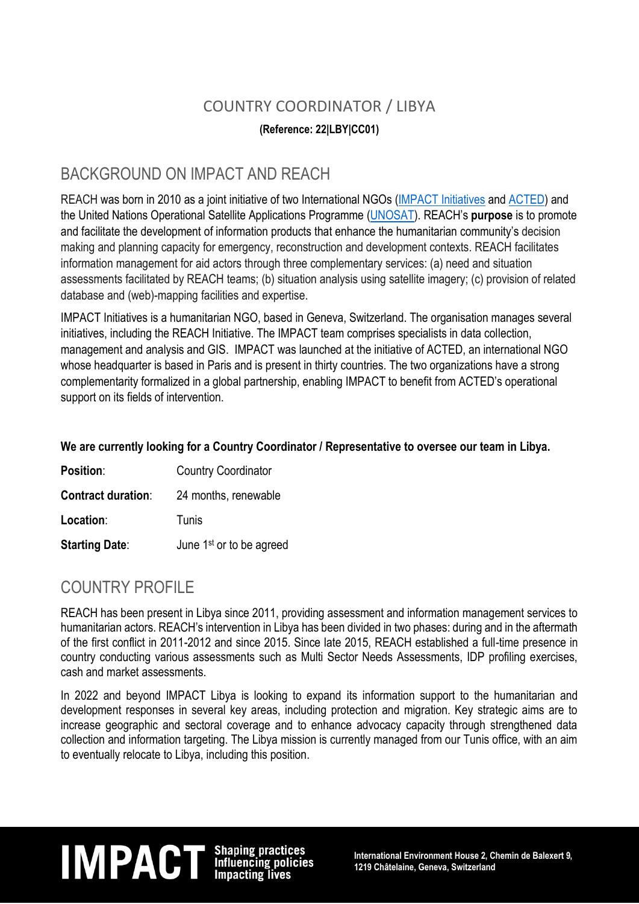### COUNTRY COORDINATOR / LIBYA

#### **(Reference: 22|LBY|CC01)**

### BACKGROUND ON IMPACT AND REACH

REACH was born in 2010 as a joint initiative of two International NGOs (IMPACT [Initiatives](http://www.impact-initiatives.org/) and [ACTED\)](http://www.acted.org/) and the United Nations Operational Satellite Applications Programme [\(UNOSAT\)](http://www.unitar.org/unosat/). REACH's **purpose** is to promote and facilitate the development of information products that enhance the humanitarian community's decision making and planning capacity for emergency, reconstruction and development contexts. REACH facilitates information management for aid actors through three complementary services: (a) need and situation assessments facilitated by REACH teams; (b) situation analysis using satellite imagery; (c) provision of related database and (web)-mapping facilities and expertise.

IMPACT Initiatives is a humanitarian NGO, based in Geneva, Switzerland. The organisation manages several initiatives, including the REACH Initiative. The IMPACT team comprises specialists in data collection, management and analysis and GIS. IMPACT was launched at the initiative of ACTED, an international NGO whose headquarter is based in Paris and is present in thirty countries. The two organizations have a strong complementarity formalized in a global partnership, enabling IMPACT to benefit from ACTED's operational support on its fields of intervention.

#### **We are currently looking for a Country Coordinator / Representative to oversee our team in Libya.**

| Position:                 | <b>Country Coordinator</b>           |
|---------------------------|--------------------------------------|
| <b>Contract duration:</b> | 24 months, renewable                 |
| Location:                 | Tunis                                |
| <b>Starting Date:</b>     | June 1 <sup>st</sup> or to be agreed |

### COUNTRY PROFILE

REACH has been present in Libya since 2011, providing assessment and information management services to humanitarian actors. REACH's intervention in Libya has been divided in two phases: during and in the aftermath of the first conflict in 2011-2012 and since 2015. Since late 2015, REACH established a full-time presence in country conducting various assessments such as Multi Sector Needs Assessments, IDP profiling exercises, cash and market assessments.

In 2022 and beyond IMPACT Libya is looking to expand its information support to the humanitarian and development responses in several key areas, including protection and migration. Key strategic aims are to increase geographic and sectoral coverage and to enhance advocacy capacity through strengthened data collection and information targeting. The Libya mission is currently managed from our Tunis office, with an aim to eventually relocate to Libya, including this position.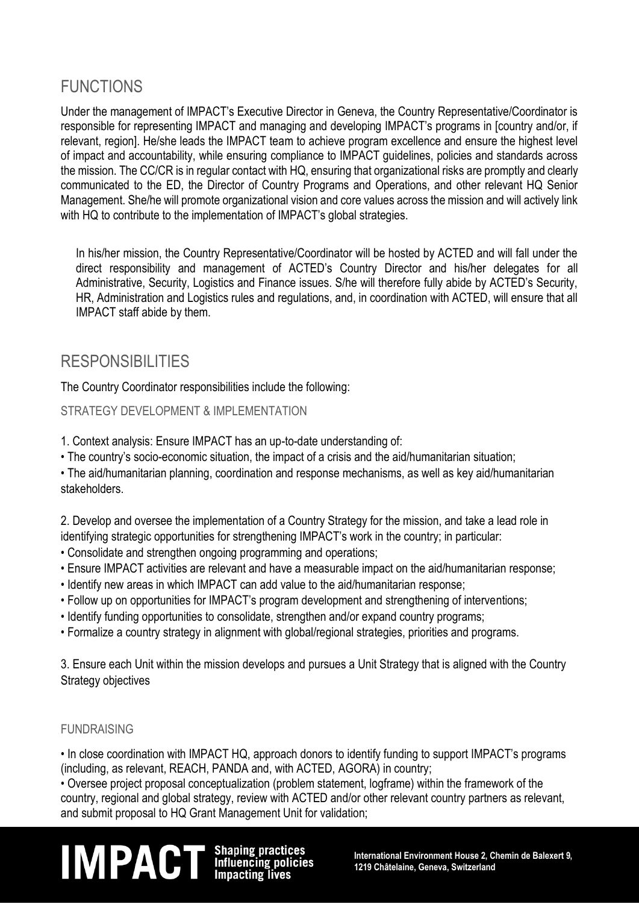## FUNCTIONS

Under the management of IMPACT's Executive Director in Geneva, the Country Representative/Coordinator is responsible for representing IMPACT and managing and developing IMPACT's programs in [country and/or, if relevant, region]. He/she leads the IMPACT team to achieve program excellence and ensure the highest level of impact and accountability, while ensuring compliance to IMPACT guidelines, policies and standards across the mission. The CC/CR is in regular contact with HQ, ensuring that organizational risks are promptly and clearly communicated to the ED, the Director of Country Programs and Operations, and other relevant HQ Senior Management. She/he will promote organizational vision and core values across the mission and will actively link with HQ to contribute to the implementation of IMPACT's global strategies.

In his/her mission, the Country Representative/Coordinator will be hosted by ACTED and will fall under the direct responsibility and management of ACTED's Country Director and his/her delegates for all Administrative, Security, Logistics and Finance issues. S/he will therefore fully abide by ACTED's Security, HR, Administration and Logistics rules and regulations, and, in coordination with ACTED, will ensure that all IMPACT staff abide by them.

### RESPONSIBILITIES

The Country Coordinator responsibilities include the following:

#### STRATEGY DEVELOPMENT & IMPLEMENTATION

1. Context analysis: Ensure IMPACT has an up-to-date understanding of:

• The country's socio-economic situation, the impact of a crisis and the aid/humanitarian situation;

• The aid/humanitarian planning, coordination and response mechanisms, as well as key aid/humanitarian stakeholders.

2. Develop and oversee the implementation of a Country Strategy for the mission, and take a lead role in identifying strategic opportunities for strengthening IMPACT's work in the country; in particular:

- Consolidate and strengthen ongoing programming and operations;
- Ensure IMPACT activities are relevant and have a measurable impact on the aid/humanitarian response;
- Identify new areas in which IMPACT can add value to the aid/humanitarian response;
- Follow up on opportunities for IMPACT's program development and strengthening of interventions;
- Identify funding opportunities to consolidate, strengthen and/or expand country programs;
- Formalize a country strategy in alignment with global/regional strategies, priorities and programs.

3. Ensure each Unit within the mission develops and pursues a Unit Strategy that is aligned with the Country Strategy objectives

#### FUNDRAISING

• In close coordination with IMPACT HQ, approach donors to identify funding to support IMPACT's programs (including, as relevant, REACH, PANDA and, with ACTED, AGORA) in country;

• Oversee project proposal conceptualization (problem statement, logframe) within the framework of the country, regional and global strategy, review with ACTED and/or other relevant country partners as relevant, and submit proposal to HQ Grant Management Unit for validation;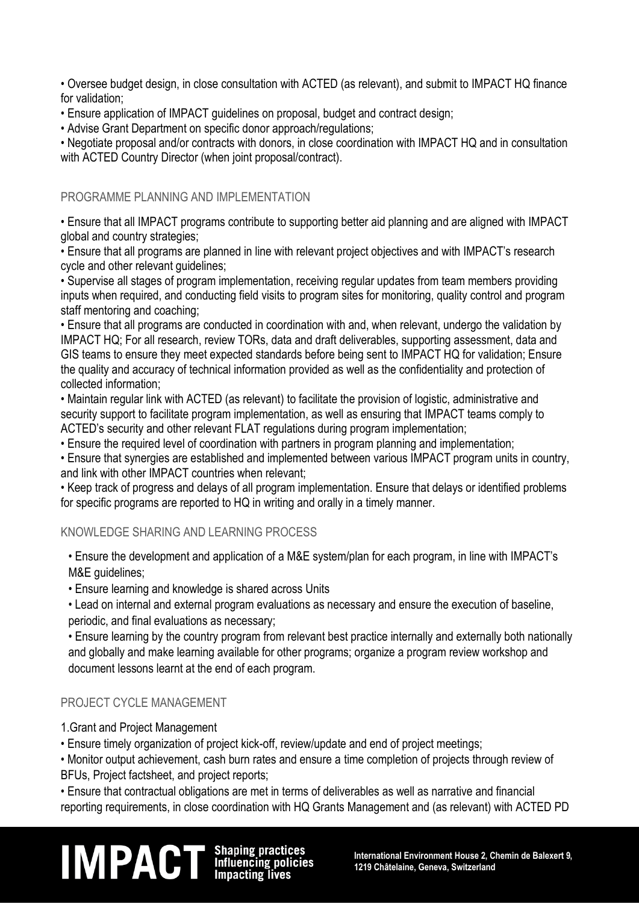• Oversee budget design, in close consultation with ACTED (as relevant), and submit to IMPACT HQ finance for validation;

• Ensure application of IMPACT guidelines on proposal, budget and contract design;

• Advise Grant Department on specific donor approach/regulations;

• Negotiate proposal and/or contracts with donors, in close coordination with IMPACT HQ and in consultation with ACTED Country Director (when joint proposal/contract).

#### PROGRAMME PLANNING AND IMPLEMENTATION

• Ensure that all IMPACT programs contribute to supporting better aid planning and are aligned with IMPACT global and country strategies;

• Ensure that all programs are planned in line with relevant project objectives and with IMPACT's research cycle and other relevant guidelines;

• Supervise all stages of program implementation, receiving regular updates from team members providing inputs when required, and conducting field visits to program sites for monitoring, quality control and program staff mentoring and coaching;

• Ensure that all programs are conducted in coordination with and, when relevant, undergo the validation by IMPACT HQ; For all research, review TORs, data and draft deliverables, supporting assessment, data and GIS teams to ensure they meet expected standards before being sent to IMPACT HQ for validation; Ensure the quality and accuracy of technical information provided as well as the confidentiality and protection of collected information;

• Maintain regular link with ACTED (as relevant) to facilitate the provision of logistic, administrative and security support to facilitate program implementation, as well as ensuring that IMPACT teams comply to ACTED's security and other relevant FLAT regulations during program implementation;

• Ensure the required level of coordination with partners in program planning and implementation;

• Ensure that synergies are established and implemented between various IMPACT program units in country, and link with other IMPACT countries when relevant;

• Keep track of progress and delays of all program implementation. Ensure that delays or identified problems for specific programs are reported to HQ in writing and orally in a timely manner.

#### KNOWLEDGE SHARING AND LEARNING PROCESS

• Ensure the development and application of a M&E system/plan for each program, in line with IMPACT's M&E guidelines;

• Ensure learning and knowledge is shared across Units

• Lead on internal and external program evaluations as necessary and ensure the execution of baseline, periodic, and final evaluations as necessary;

• Ensure learning by the country program from relevant best practice internally and externally both nationally and globally and make learning available for other programs; organize a program review workshop and document lessons learnt at the end of each program.

#### PROJECT CYCLE MANAGEMENT

1.Grant and Project Management

• Ensure timely organization of project kick-off, review/update and end of project meetings;

• Monitor output achievement, cash burn rates and ensure a time completion of projects through review of BFUs, Project factsheet, and project reports;

• Ensure that contractual obligations are met in terms of deliverables as well as narrative and financial reporting requirements, in close coordination with HQ Grants Management and (as relevant) with ACTED PD

# **IM PACT** Shaping practices<br>Influencing policies international Environment House 2, Chemin de Balexert 9,<br>Impacting lives 1219 Châtelaine, Geneva, Switzerland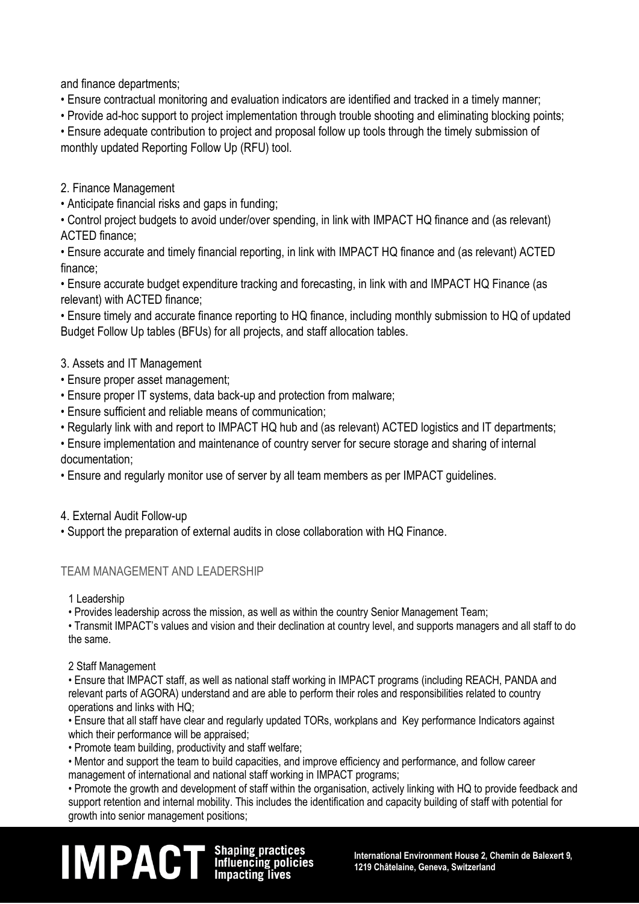and finance departments;

• Ensure contractual monitoring and evaluation indicators are identified and tracked in a timely manner;

• Provide ad-hoc support to project implementation through trouble shooting and eliminating blocking points;

• Ensure adequate contribution to project and proposal follow up tools through the timely submission of monthly updated Reporting Follow Up (RFU) tool.

2. Finance Management

• Anticipate financial risks and gaps in funding;

• Control project budgets to avoid under/over spending, in link with IMPACT HQ finance and (as relevant) ACTED finance;

• Ensure accurate and timely financial reporting, in link with IMPACT HQ finance and (as relevant) ACTED finance;

• Ensure accurate budget expenditure tracking and forecasting, in link with and IMPACT HQ Finance (as relevant) with ACTED finance;

• Ensure timely and accurate finance reporting to HQ finance, including monthly submission to HQ of updated Budget Follow Up tables (BFUs) for all projects, and staff allocation tables.

#### 3. Assets and IT Management

- Ensure proper asset management;
- Ensure proper IT systems, data back-up and protection from malware;
- Ensure sufficient and reliable means of communication;
- Regularly link with and report to IMPACT HQ hub and (as relevant) ACTED logistics and IT departments;

• Ensure implementation and maintenance of country server for secure storage and sharing of internal documentation;

• Ensure and regularly monitor use of server by all team members as per IMPACT guidelines.

4. External Audit Follow-up

• Support the preparation of external audits in close collaboration with HQ Finance.

### TEAM MANAGEMENT AND LEADERSHIP

1 Leadership

• Provides leadership across the mission, as well as within the country Senior Management Team;

• Transmit IMPACT's values and vision and their declination at country level, and supports managers and all staff to do the same.

2 Staff Management

• Ensure that IMPACT staff, as well as national staff working in IMPACT programs (including REACH, PANDA and relevant parts of AGORA) understand and are able to perform their roles and responsibilities related to country operations and links with HQ;

• Ensure that all staff have clear and regularly updated TORs, workplans and Key performance Indicators against which their performance will be appraised:

• Promote team building, productivity and staff welfare;

• Mentor and support the team to build capacities, and improve efficiency and performance, and follow career management of international and national staff working in IMPACT programs;

• Promote the growth and development of staff within the organisation, actively linking with HQ to provide feedback and support retention and internal mobility. This includes the identification and capacity building of staff with potential for growth into senior management positions;

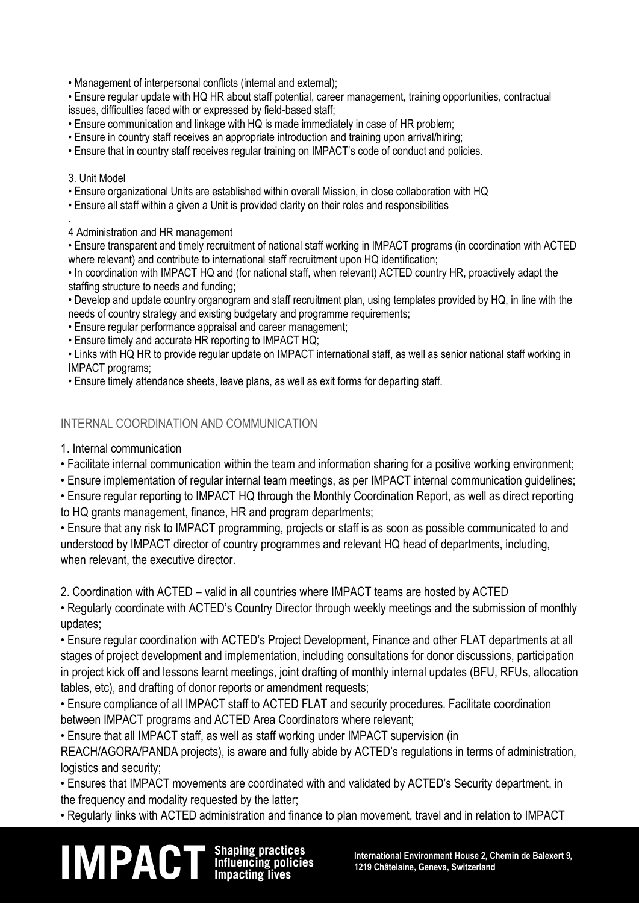• Management of interpersonal conflicts (internal and external);

• Ensure regular update with HQ HR about staff potential, career management, training opportunities, contractual issues, difficulties faced with or expressed by field-based staff;

• Ensure communication and linkage with HQ is made immediately in case of HR problem;

• Ensure in country staff receives an appropriate introduction and training upon arrival/hiring;

• Ensure that in country staff receives regular training on IMPACT's code of conduct and policies.

#### 3. Unit Model

• Ensure organizational Units are established within overall Mission, in close collaboration with HQ

• Ensure all staff within a given a Unit is provided clarity on their roles and responsibilities

. 4 Administration and HR management

• Ensure transparent and timely recruitment of national staff working in IMPACT programs (in coordination with ACTED where relevant) and contribute to international staff recruitment upon HQ identification;

• In coordination with IMPACT HQ and (for national staff, when relevant) ACTED country HR, proactively adapt the staffing structure to needs and funding;

• Develop and update country organogram and staff recruitment plan, using templates provided by HQ, in line with the needs of country strategy and existing budgetary and programme requirements;

• Ensure regular performance appraisal and career management;

• Ensure timely and accurate HR reporting to IMPACT HQ;

• Links with HQ HR to provide regular update on IMPACT international staff, as well as senior national staff working in IMPACT programs;

• Ensure timely attendance sheets, leave plans, as well as exit forms for departing staff.

#### INTERNAL COORDINATION AND COMMUNICATION

1. Internal communication

• Facilitate internal communication within the team and information sharing for a positive working environment;

• Ensure implementation of regular internal team meetings, as per IMPACT internal communication guidelines;

• Ensure regular reporting to IMPACT HQ through the Monthly Coordination Report, as well as direct reporting to HQ grants management, finance, HR and program departments;

• Ensure that any risk to IMPACT programming, projects or staff is as soon as possible communicated to and understood by IMPACT director of country programmes and relevant HQ head of departments, including, when relevant, the executive director.

2. Coordination with ACTED – valid in all countries where IMPACT teams are hosted by ACTED

• Regularly coordinate with ACTED's Country Director through weekly meetings and the submission of monthly updates;

• Ensure regular coordination with ACTED's Project Development, Finance and other FLAT departments at all stages of project development and implementation, including consultations for donor discussions, participation in project kick off and lessons learnt meetings, joint drafting of monthly internal updates (BFU, RFUs, allocation tables, etc), and drafting of donor reports or amendment requests;

• Ensure compliance of all IMPACT staff to ACTED FLAT and security procedures. Facilitate coordination between IMPACT programs and ACTED Area Coordinators where relevant;

• Ensure that all IMPACT staff, as well as staff working under IMPACT supervision (in

REACH/AGORA/PANDA projects), is aware and fully abide by ACTED's regulations in terms of administration, logistics and security;

• Ensures that IMPACT movements are coordinated with and validated by ACTED's Security department, in the frequency and modality requested by the latter;

• Regularly links with ACTED administration and finance to plan movement, travel and in relation to IMPACT

# **IM PACT** Shaping practices<br>Influencing policies international Environment House 2, Chemin de Balexert 9,<br>Impacting lives 1219 Châtelaine, Geneva, Switzerland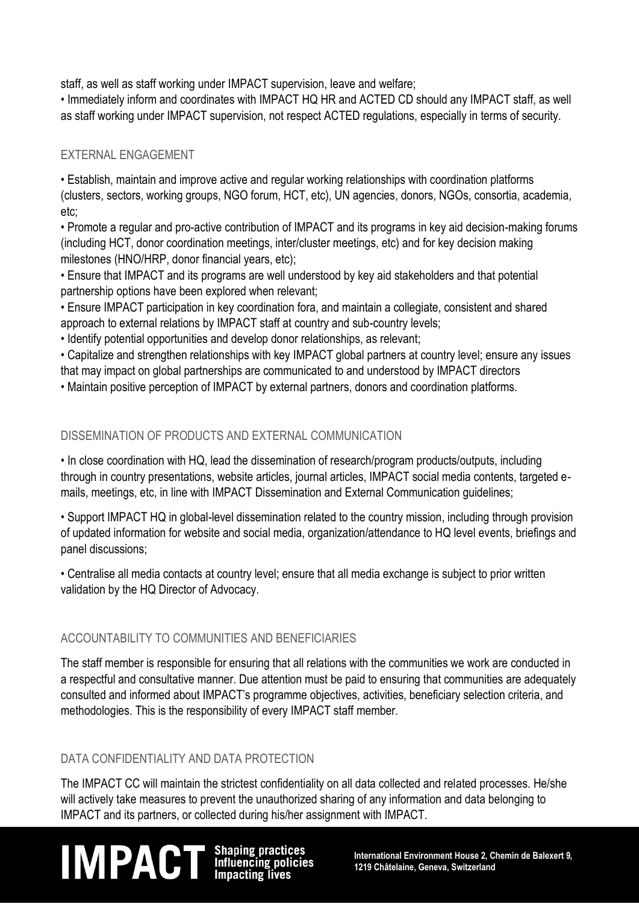staff, as well as staff working under IMPACT supervision, leave and welfare;

• Immediately inform and coordinates with IMPACT HQ HR and ACTED CD should any IMPACT staff, as well as staff working under IMPACT supervision, not respect ACTED regulations, especially in terms of security.

#### EXTERNAL ENGAGEMENT

• Establish, maintain and improve active and regular working relationships with coordination platforms (clusters, sectors, working groups, NGO forum, HCT, etc), UN agencies, donors, NGOs, consortia, academia, etc;

• Promote a regular and pro-active contribution of IMPACT and its programs in key aid decision-making forums (including HCT, donor coordination meetings, inter/cluster meetings, etc) and for key decision making milestones (HNO/HRP, donor financial years, etc);

• Ensure that IMPACT and its programs are well understood by key aid stakeholders and that potential partnership options have been explored when relevant;

• Ensure IMPACT participation in key coordination fora, and maintain a collegiate, consistent and shared approach to external relations by IMPACT staff at country and sub-country levels;

• Identify potential opportunities and develop donor relationships, as relevant;

• Capitalize and strengthen relationships with key IMPACT global partners at country level; ensure any issues that may impact on global partnerships are communicated to and understood by IMPACT directors

• Maintain positive perception of IMPACT by external partners, donors and coordination platforms.

### DISSEMINATION OF PRODUCTS AND EXTERNAL COMMUNICATION

• In close coordination with HQ, lead the dissemination of research/program products/outputs, including through in country presentations, website articles, journal articles, IMPACT social media contents, targeted emails, meetings, etc, in line with IMPACT Dissemination and External Communication guidelines;

• Support IMPACT HQ in global-level dissemination related to the country mission, including through provision of updated information for website and social media, organization/attendance to HQ level events, briefings and panel discussions;

• Centralise all media contacts at country level; ensure that all media exchange is subject to prior written validation by the HQ Director of Advocacy.

### ACCOUNTABILITY TO COMMUNITIES AND BENEFICIARIES

The staff member is responsible for ensuring that all relations with the communities we work are conducted in a respectful and consultative manner. Due attention must be paid to ensuring that communities are adequately consulted and informed about IMPACT's programme objectives, activities, beneficiary selection criteria, and methodologies. This is the responsibility of every IMPACT staff member.

#### DATA CONFIDENTIALITY AND DATA PROTECTION

The IMPACT CC will maintain the strictest confidentiality on all data collected and related processes. He/she will actively take measures to prevent the unauthorized sharing of any information and data belonging to IMPACT and its partners, or collected during his/her assignment with IMPACT.